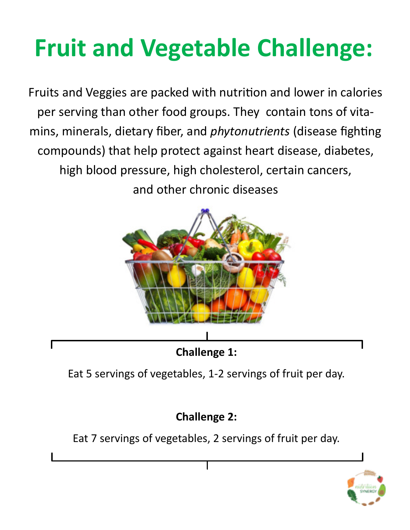# **Fruit and Vegetable Challenge:**

Fruits and Veggies are packed with nutrition and lower in calories per serving than other food groups. They contain tons of vitamins, minerals, dietary fiber, and *phytonutrients* (disease fighting compounds) that help protect against heart disease, diabetes, high blood pressure, high cholesterol, certain cancers, and other chronic diseases



Eat 5 servings of vegetables, 1-2 servings of fruit per day.

## **Challenge 2:**

Eat 7 servings of vegetables, 2 servings of fruit per day.